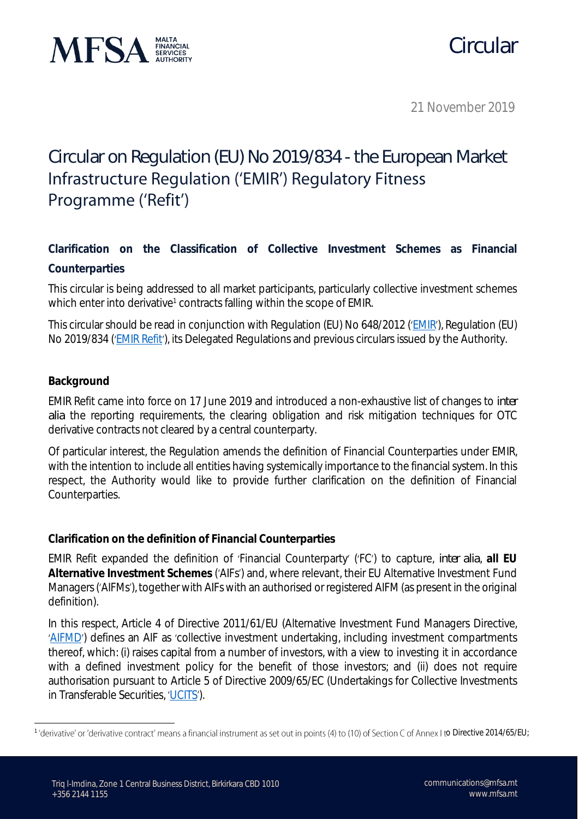

## Circular

21 November 2019

## Circular on Regulation (EU) No 2019/834 - the European Market Infrastructure Regulation ('EMIR') Regulatory Fitness Programme ('Refit')

**Clarification on the Classification of Collective Investment Schemes as Financial Counterparties**

This circular is being addressed to all market participants, particularly collective investment schemes which enter into derivative<sup>1</sup> contracts falling within the scope of EMIR.

This circular should be read in conjunction with Regulation (EU) No 648/2012 ('[EMIR](https://eur-lex.europa.eu/legal-content/EN/TXT/PDF/?uri=CELEX:32012R0648&from=EN)'), Regulation (EU) No 2019/834 ('[EMIR Refit](https://eur-lex.europa.eu/legal-content/EN/TXT/PDF/?uri=CELEX:32019R0834&from=EN)'), its Delegated Regulations and previous circulars issued by the Authority.

## **Background**

EMIR Refit came into force on 17 June 2019 and introduced a non-exhaustive list of changes to *inter alia* the reporting requirements, the clearing obligation and risk mitigation techniques for OTC derivative contracts not cleared by a central counterparty.

Of particular interest, the Regulation amends the definition of Financial Counterparties under EMIR, with the intention to include all entities having systemically importance to the financial system. In this respect, the Authority would like to provide further clarification on the definition of Financial Counterparties.

**Clarification on the definition of Financial Counterparties**

EMIR Refit expanded the definition of Financial Counterparty ( FC ) to capture, *inter alia*, **all EU Alternative Investment Schemes** ( AIFs) and, where relevant, their EU Alternative Investment Fund Managers ('AIFMs'), together with AIFs with an authorised or registered AIFM (as present in the original definition).

In this respect, Article 4 of Directive 2011/61/EU (Alternative Investment Fund Managers Directive, '[AIFMD](https://eur-lex.europa.eu/LexUriServ/LexUriServ.do?uri=OJ:L:2011:174:0001:0073:EN:PDF)') defines an AIF as 'collective investment undertaking, including investment compartments thereof, which: (i) raises capital from a number of investors, with a view to investing it in accordance with a defined investment policy for the benefit of those investors; and (ii) does not require authorisation pursuant to Article 5 of Directive 2009/65/EC (Undertakings for Collective Investments in Transferable Securities, 'UCITS').

<sup>&</sup>lt;sup>1</sup>'derivative' or 'derivative contract' means a financial instrument as set out in points (4) to (10) of Section C of Annex I to Directive 2014/65/EU;